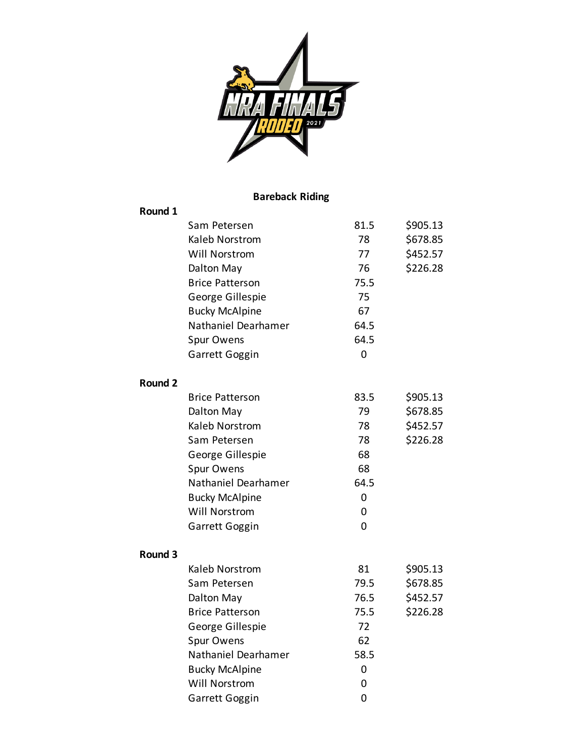

## **Bareback Riding**

| Round 1        |                        |      |          |
|----------------|------------------------|------|----------|
|                | Sam Petersen           | 81.5 | \$905.13 |
|                | Kaleb Norstrom         | 78   | \$678.85 |
|                | Will Norstrom          | 77   | \$452.57 |
|                | Dalton May             | 76   | \$226.28 |
|                | <b>Brice Patterson</b> | 75.5 |          |
|                | George Gillespie       | 75   |          |
|                | <b>Bucky McAlpine</b>  | 67   |          |
|                | Nathaniel Dearhamer    | 64.5 |          |
|                | Spur Owens             | 64.5 |          |
|                | Garrett Goggin         | 0    |          |
| <b>Round 2</b> |                        |      |          |
|                | <b>Brice Patterson</b> | 83.5 | \$905.13 |
|                | Dalton May             | 79   | \$678.85 |
|                | Kaleb Norstrom         | 78   | \$452.57 |
|                | Sam Petersen           | 78   | \$226.28 |
|                | George Gillespie       | 68   |          |
|                | Spur Owens             | 68   |          |
|                | Nathaniel Dearhamer    | 64.5 |          |
|                | <b>Bucky McAlpine</b>  | 0    |          |
|                | Will Norstrom          | 0    |          |
|                | Garrett Goggin         | 0    |          |
| Round 3        |                        |      |          |
|                | Kaleb Norstrom         | 81   | \$905.13 |
|                | Sam Petersen           | 79.5 | \$678.85 |
|                | Dalton May             | 76.5 | \$452.57 |
|                | <b>Brice Patterson</b> | 75.5 | \$226.28 |
|                | George Gillespie       | 72   |          |
|                | Spur Owens             | 62   |          |
|                | Nathaniel Dearhamer    | 58.5 |          |
|                | <b>Bucky McAlpine</b>  | 0    |          |
|                | Will Norstrom          | 0    |          |
|                | Garrett Goggin         | 0    |          |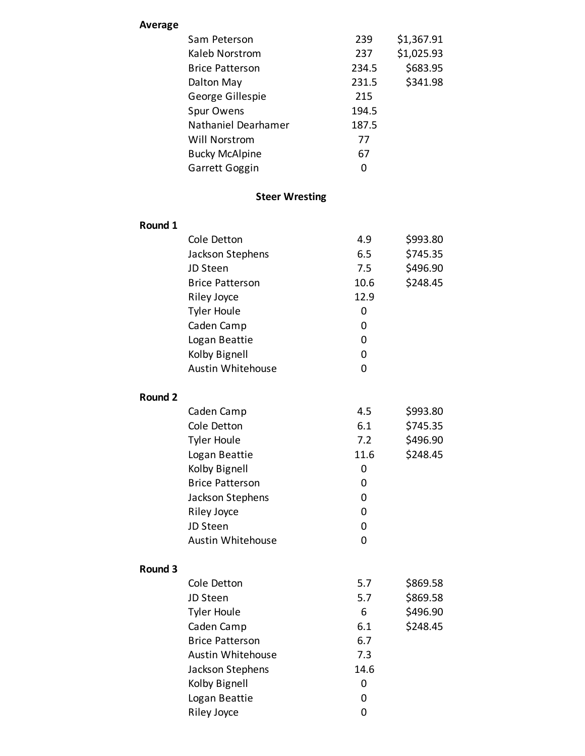| <b>Average</b>     |                        |       |            |
|--------------------|------------------------|-------|------------|
|                    | Sam Peterson           | 239   | \$1,367.91 |
|                    | Kaleb Norstrom         | 237   | \$1,025.93 |
|                    | <b>Brice Patterson</b> | 234.5 | \$683.95   |
|                    | Dalton May             | 231.5 | \$341.98   |
|                    | George Gillespie       | 215   |            |
|                    | Spur Owens             | 194.5 |            |
|                    | Nathaniel Dearhamer    | 187.5 |            |
|                    | Will Norstrom          | 77    |            |
|                    | <b>Bucky McAlpine</b>  | 67    |            |
|                    | Garrett Goggin         | 0     |            |
|                    |                        |       |            |
|                    | <b>Steer Wresting</b>  |       |            |
| Round 1            |                        |       |            |
|                    | Cole Detton            | 4.9   | \$993.80   |
|                    | Jackson Stephens       | 6.5   | \$745.35   |
|                    | JD Steen               | 7.5   | \$496.90   |
|                    | <b>Brice Patterson</b> | 10.6  | \$248.45   |
|                    | Riley Joyce            | 12.9  |            |
|                    | <b>Tyler Houle</b>     | 0     |            |
|                    | Caden Camp             | 0     |            |
|                    | Logan Beattie          | 0     |            |
|                    | Kolby Bignell          | 0     |            |
|                    | Austin Whitehouse      | 0     |            |
|                    |                        |       |            |
| Round <sub>2</sub> |                        |       |            |
|                    | Caden Camp             | 4.5   | \$993.80   |
|                    | Cole Detton            | 6.1   | \$745.35   |
|                    | <b>Tyler Houle</b>     | 7.2   | \$496.90   |
|                    | Logan Beattie          | 11.6  | \$248.45   |
|                    | Kolby Bignell          | 0     |            |
|                    | <b>Brice Patterson</b> | 0     |            |
|                    | Jackson Stephens       | 0     |            |
|                    | <b>Riley Joyce</b>     | 0     |            |
|                    | JD Steen               | 0     |            |
|                    | Austin Whitehouse      | 0     |            |
| Round 3            |                        |       |            |
|                    | Cole Detton            | 5.7   | \$869.58   |
|                    | JD Steen               | 5.7   | \$869.58   |
|                    | <b>Tyler Houle</b>     | 6     | \$496.90   |
|                    | Caden Camp             | 6.1   | \$248.45   |
|                    | <b>Brice Patterson</b> | 6.7   |            |
|                    | Austin Whitehouse      | 7.3   |            |
|                    |                        | 14.6  |            |
|                    | Jackson Stephens       |       |            |
|                    | Kolby Bignell          | 0     |            |
|                    | Logan Beattie          | 0     |            |
|                    | <b>Riley Joyce</b>     | 0     |            |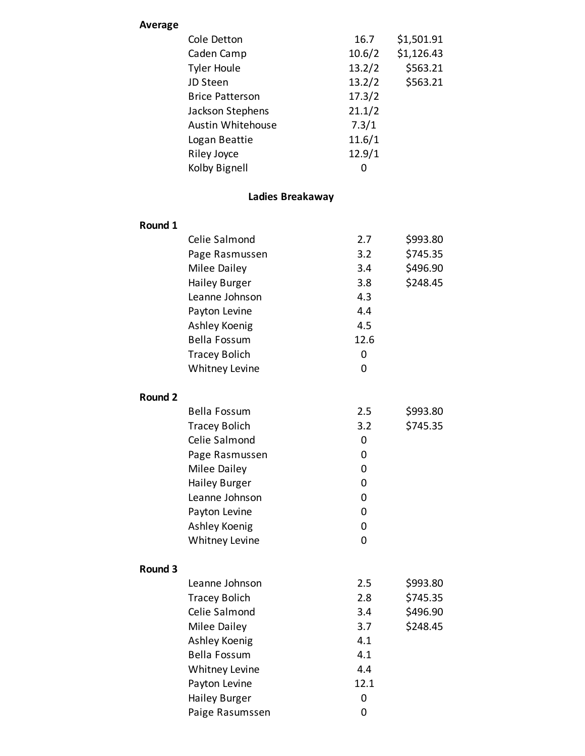| Average |      |
|---------|------|
|         | Cole |

| Cole Detton            | 16.7   | \$1,501.91 |
|------------------------|--------|------------|
| Caden Camp             | 10.6/2 | \$1,126.43 |
| <b>Tyler Houle</b>     | 13.2/2 | \$563.21   |
| JD Steen               | 13.2/2 | \$563.21   |
| <b>Brice Patterson</b> | 17.3/2 |            |
| Jackson Stephens       | 21.1/2 |            |
| Austin Whitehouse      | 7.3/1  |            |
| Logan Beattie          | 11.6/1 |            |
| Riley Joyce            | 12.9/1 |            |
| Kolby Bignell          | 0      |            |
| Ladies Breakaway       |        |            |
|                        |        |            |
|                        |        |            |

|                | Celie Salmond        | 2.7            | \$993.80 |
|----------------|----------------------|----------------|----------|
|                | Page Rasmussen       | 3.2            | \$745.35 |
|                | Milee Dailey         | 3.4            | \$496.90 |
|                | <b>Hailey Burger</b> | 3.8            | \$248.45 |
|                | Leanne Johnson       | 4.3            |          |
|                | Payton Levine        | 4.4            |          |
|                | Ashley Koenig        | 4.5            |          |
|                | <b>Bella Fossum</b>  | 12.6           |          |
|                | <b>Tracey Bolich</b> | 0              |          |
|                | Whitney Levine       | $\overline{0}$ |          |
| <b>Round 2</b> |                      |                |          |
|                | <b>Bella Fossum</b>  | 2.5            | \$993.80 |
|                | <b>Tracey Bolich</b> | 3.2            | \$745.35 |
|                | Celie Salmond        | 0              |          |
|                | Page Rasmussen       | 0              |          |
|                | Milee Dailey         | 0              |          |
|                | <b>Hailey Burger</b> | 0              |          |
|                | Leanne Johnson       | $\mathbf 0$    |          |
|                | Payton Levine        | 0              |          |
|                | Ashley Koenig        | $\mathbf 0$    |          |
|                | Whitney Levine       | $\mathbf 0$    |          |
| Round 3        |                      |                |          |
|                | Leanne Johnson       | 2.5            | \$993.80 |
|                | <b>Tracey Bolich</b> | 2.8            | \$745.35 |
|                | Celie Salmond        | 3.4            | \$496.90 |
|                | Milee Dailey         | 3.7            | \$248.45 |
|                | Ashley Koenig        | 4.1            |          |
|                | <b>Bella Fossum</b>  | 4.1            |          |
|                | Whitney Levine       | 4.4            |          |
|                | Payton Levine        | 12.1           |          |
|                | <b>Hailey Burger</b> | 0              |          |
|                | Paige Rasumssen      | $\overline{0}$ |          |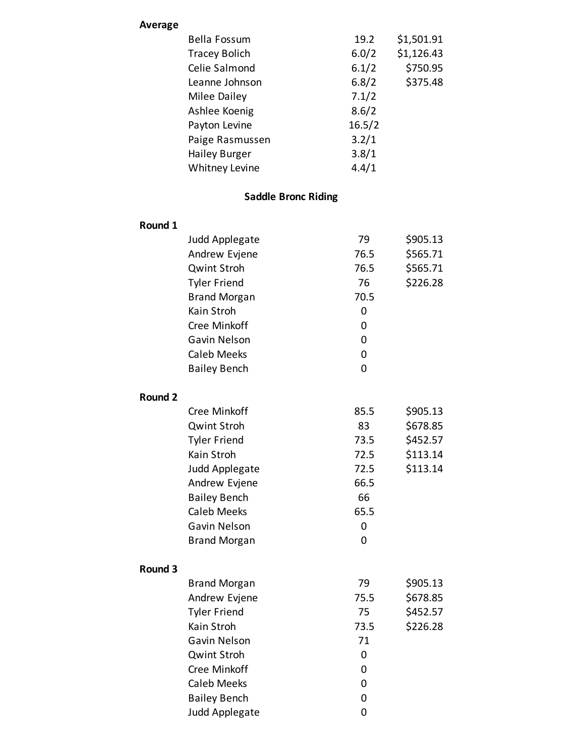| Average |           |
|---------|-----------|
|         | Bella For |

| <b>Bella Fossum</b>   | 19.2   | \$1,501.91 |
|-----------------------|--------|------------|
| <b>Tracey Bolich</b>  | 6.0/2  | \$1,126.43 |
| Celie Salmond         | 6.1/2  | \$750.95   |
| Leanne Johnson        | 6.8/2  | \$375.48   |
| Milee Dailey          | 7.1/2  |            |
| Ashlee Koenig         | 8.6/2  |            |
| Payton Levine         | 16.5/2 |            |
| Paige Rasmussen       | 3.2/1  |            |
| <b>Hailey Burger</b>  | 3.8/1  |            |
| <b>Whitney Levine</b> | 4.4/1  |            |

# **Saddle Bronc Riding**

| Round 1        |                     |      |          |
|----------------|---------------------|------|----------|
|                | Judd Applegate      | 79   | \$905.13 |
|                | Andrew Evjene       | 76.5 | \$565.71 |
|                | <b>Qwint Stroh</b>  | 76.5 | \$565.71 |
|                | <b>Tyler Friend</b> | 76   | \$226.28 |
|                | <b>Brand Morgan</b> | 70.5 |          |
|                | Kain Stroh          | 0    |          |
|                | Cree Minkoff        | 0    |          |
|                | Gavin Nelson        | 0    |          |
|                | <b>Caleb Meeks</b>  | 0    |          |
|                | <b>Bailey Bench</b> | 0    |          |
| <b>Round 2</b> |                     |      |          |
|                | Cree Minkoff        | 85.5 | \$905.13 |
|                | <b>Qwint Stroh</b>  | 83   | \$678.85 |
|                | <b>Tyler Friend</b> | 73.5 | \$452.57 |
|                | Kain Stroh          | 72.5 | \$113.14 |
|                | Judd Applegate      | 72.5 | \$113.14 |
|                | Andrew Evjene       | 66.5 |          |
|                | <b>Bailey Bench</b> | 66   |          |
|                | <b>Caleb Meeks</b>  | 65.5 |          |
|                | Gavin Nelson        | 0    |          |
|                | <b>Brand Morgan</b> | 0    |          |
| Round 3        |                     |      |          |
|                | <b>Brand Morgan</b> | 79   | \$905.13 |
|                | Andrew Evjene       | 75.5 | \$678.85 |
|                | <b>Tyler Friend</b> | 75   | \$452.57 |
|                | Kain Stroh          | 73.5 | \$226.28 |
|                | Gavin Nelson        | 71   |          |
|                | <b>Qwint Stroh</b>  | 0    |          |
|                | Cree Minkoff        | 0    |          |
|                | <b>Caleb Meeks</b>  | 0    |          |
|                | <b>Bailey Bench</b> | 0    |          |
|                | Judd Applegate      | 0    |          |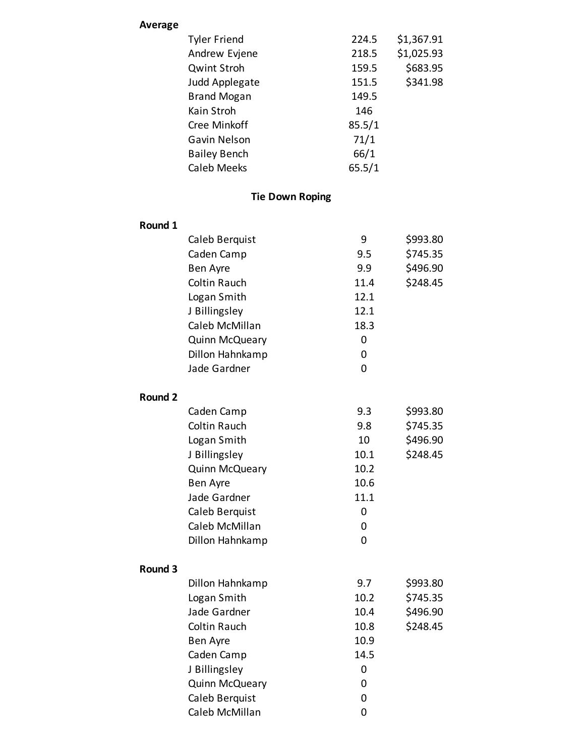| <b>Average</b> |                       |                        |        |            |
|----------------|-----------------------|------------------------|--------|------------|
|                | <b>Tyler Friend</b>   |                        | 224.5  | \$1,367.91 |
|                | Andrew Evjene         |                        | 218.5  | \$1,025.93 |
|                | <b>Qwint Stroh</b>    |                        | 159.5  | \$683.95   |
|                | Judd Applegate        |                        | 151.5  | \$341.98   |
|                | <b>Brand Mogan</b>    |                        | 149.5  |            |
|                | Kain Stroh            |                        | 146    |            |
|                | Cree Minkoff          |                        | 85.5/1 |            |
|                | Gavin Nelson          |                        | 71/1   |            |
|                | <b>Bailey Bench</b>   |                        | 66/1   |            |
|                | <b>Caleb Meeks</b>    |                        | 65.5/1 |            |
|                |                       | <b>Tie Down Roping</b> |        |            |
| Round 1        |                       |                        |        |            |
|                | Caleb Berquist        |                        | 9      | \$993.80   |
|                | Caden Camp            |                        | 9.5    | \$745.35   |
|                | Ben Ayre              |                        | 9.9    | \$496.90   |
|                | <b>Coltin Rauch</b>   |                        | 11.4   | \$248.45   |
|                | Logan Smith           |                        | 12.1   |            |
|                | J Billingsley         |                        | 12.1   |            |
|                | Caleb McMillan        |                        | 18.3   |            |
|                | Quinn McQueary        |                        | 0      |            |
|                | Dillon Hahnkamp       |                        | 0      |            |
|                | Jade Gardner          |                        | 0      |            |
|                |                       |                        |        |            |
| Round 2        |                       |                        |        |            |
|                | Caden Camp            |                        | 9.3    | \$993.80   |
|                | <b>Coltin Rauch</b>   |                        | 9.8    | \$745.35   |
|                | Logan Smith           |                        | 10     | \$496.90   |
|                | J Billingsley         |                        | 10.1   | \$248.45   |
|                | <b>Quinn McQueary</b> |                        | 10.2   |            |
|                | Ben Ayre              |                        | 10.6   |            |
|                | Jade Gardner          |                        | 11.1   |            |
|                | Caleb Berquist        |                        | 0      |            |
|                | Caleb McMillan        |                        | 0      |            |
|                | Dillon Hahnkamp       |                        | 0      |            |
| Round 3        |                       |                        |        |            |
|                | Dillon Hahnkamp       |                        | 9.7    | \$993.80   |
|                | Logan Smith           |                        | 10.2   | \$745.35   |
|                | Jade Gardner          |                        | 10.4   | \$496.90   |
|                | <b>Coltin Rauch</b>   |                        | 10.8   | \$248.45   |
|                | Ben Ayre              |                        | 10.9   |            |
|                | Caden Camp            |                        | 14.5   |            |
|                | J Billingsley         |                        | 0      |            |
|                | Quinn McQueary        |                        | 0      |            |
|                | Caleb Berquist        |                        | 0      |            |
|                | Caleb McMillan        |                        | 0      |            |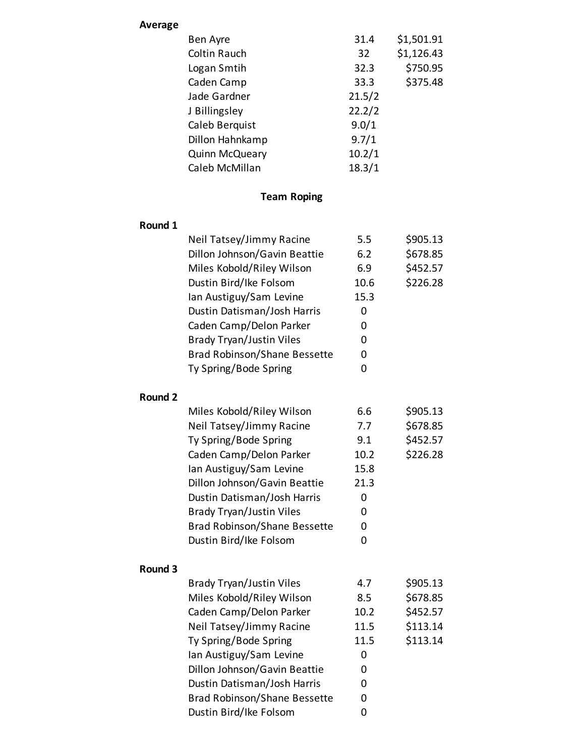| <b>Average</b> |                                     |        |            |
|----------------|-------------------------------------|--------|------------|
|                | Ben Ayre                            | 31.4   | \$1,501.91 |
|                | <b>Coltin Rauch</b>                 | 32     | \$1,126.43 |
|                | Logan Smtih                         | 32.3   | \$750.95   |
|                | Caden Camp                          | 33.3   | \$375.48   |
|                | Jade Gardner                        | 21.5/2 |            |
|                | J Billingsley                       | 22.2/2 |            |
|                | Caleb Berquist                      | 9.0/1  |            |
|                | Dillon Hahnkamp                     | 9.7/1  |            |
|                | Quinn McQueary                      | 10.2/1 |            |
|                | Caleb McMillan                      | 18.3/1 |            |
|                | <b>Team Roping</b>                  |        |            |
| Round 1        |                                     |        |            |
|                | Neil Tatsey/Jimmy Racine            | 5.5    | \$905.13   |
|                | Dillon Johnson/Gavin Beattie        | 6.2    | \$678.85   |
|                | Miles Kobold/Riley Wilson           | 6.9    | \$452.57   |
|                | Dustin Bird/Ike Folsom              | 10.6   | \$226.28   |
|                | Ian Austiguy/Sam Levine             | 15.3   |            |
|                | Dustin Datisman/Josh Harris         | 0      |            |
|                | Caden Camp/Delon Parker             | 0      |            |
|                | <b>Brady Tryan/Justin Viles</b>     | 0      |            |
|                | <b>Brad Robinson/Shane Bessette</b> | 0      |            |
|                | Ty Spring/Bode Spring               | 0      |            |
| <b>Round 2</b> |                                     |        |            |
|                | Miles Kobold/Riley Wilson           | 6.6    | \$905.13   |
|                | Neil Tatsey/Jimmy Racine            | 7.7    | \$678.85   |
|                | Ty Spring/Bode Spring               | 9.1    | \$452.57   |
|                | Caden Camp/Delon Parker             | 10.2   | \$226.28   |
|                | Ian Austiguy/Sam Levine             | 15.8   |            |
|                | Dillon Johnson/Gavin Beattie        | 21.3   |            |
|                | Dustin Datisman/Josh Harris         | 0      |            |
|                | <b>Brady Tryan/Justin Viles</b>     | 0      |            |
|                | <b>Brad Robinson/Shane Bessette</b> | 0      |            |
|                | Dustin Bird/Ike Folsom              | 0      |            |
| Round 3        |                                     |        |            |
|                | <b>Brady Tryan/Justin Viles</b>     | 4.7    | \$905.13   |
|                | Miles Kobold/Riley Wilson           | 8.5    | \$678.85   |
|                | Caden Camp/Delon Parker             | 10.2   | \$452.57   |
|                | Neil Tatsey/Jimmy Racine            | 11.5   | \$113.14   |
|                | Ty Spring/Bode Spring               | 11.5   | \$113.14   |
|                | Ian Austiguy/Sam Levine             | 0      |            |
|                | Dillon Johnson/Gavin Beattie        | 0      |            |
|                | Dustin Datisman/Josh Harris         | 0      |            |
|                | <b>Brad Robinson/Shane Bessette</b> | 0      |            |
|                | Dustin Bird/Ike Folsom              | 0      |            |
|                |                                     |        |            |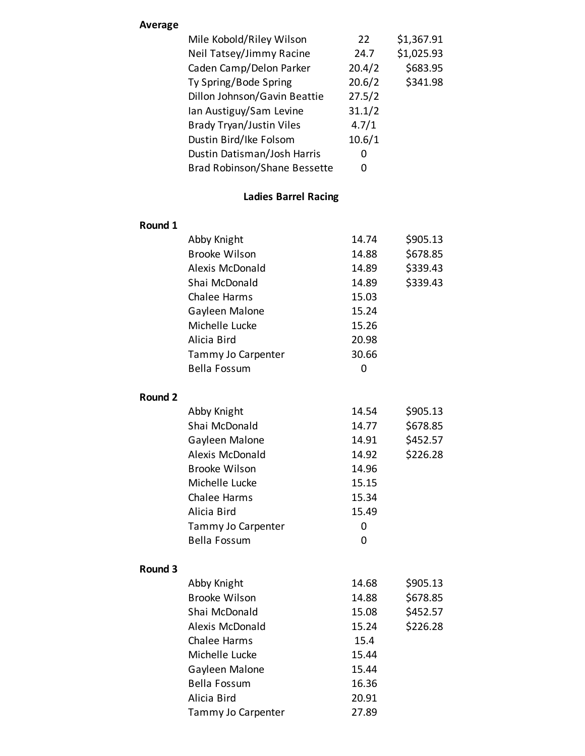#### **Average**

| Mile Kobold/Riley Wilson            | 22     | \$1,367.91 |
|-------------------------------------|--------|------------|
| Neil Tatsey/Jimmy Racine            | 24.7   | \$1,025.93 |
| Caden Camp/Delon Parker             | 20.4/2 | \$683.95   |
| Ty Spring/Bode Spring               | 20.6/2 | \$341.98   |
| Dillon Johnson/Gavin Beattie        | 27.5/2 |            |
| Ian Austiguy/Sam Levine             | 31.1/2 |            |
| <b>Brady Tryan/Justin Viles</b>     | 4.7/1  |            |
| Dustin Bird/Ike Folsom              | 10.6/1 |            |
| Dustin Datisman/Josh Harris         | O      |            |
| <b>Brad Robinson/Shane Bessette</b> | O)     |            |
|                                     |        |            |

## **Ladies Barrel Racing**

#### **Round 1**

|                    | Abby Knight          | 14.74       | \$905.13 |
|--------------------|----------------------|-------------|----------|
|                    | <b>Brooke Wilson</b> | 14.88       | \$678.85 |
|                    | Alexis McDonald      | 14.89       | \$339.43 |
|                    | Shai McDonald        | 14.89       | \$339.43 |
|                    | Chalee Harms         | 15.03       |          |
|                    | Gayleen Malone       | 15.24       |          |
|                    | Michelle Lucke       | 15.26       |          |
|                    | Alicia Bird          | 20.98       |          |
|                    | Tammy Jo Carpenter   | 30.66       |          |
|                    | <b>Bella Fossum</b>  | 0           |          |
| Round <sub>2</sub> |                      |             |          |
|                    | Abby Knight          | 14.54       | \$905.13 |
|                    | Shai McDonald        | 14.77       | \$678.85 |
|                    | Gayleen Malone       | 14.91       | \$452.57 |
|                    | Alexis McDonald      | 14.92       | \$226.28 |
|                    | <b>Brooke Wilson</b> | 14.96       |          |
|                    | Michelle Lucke       | 15.15       |          |
|                    | <b>Chalee Harms</b>  | 15.34       |          |
|                    | Alicia Bird          | 15.49       |          |
|                    | Tammy Jo Carpenter   | $\mathbf 0$ |          |
|                    | <b>Bella Fossum</b>  | 0           |          |
| Round 3            |                      |             |          |
|                    | Abby Knight          | 14.68       | \$905.13 |
|                    | <b>Brooke Wilson</b> | 14.88       | \$678.85 |
|                    | Shai McDonald        | 15.08       | \$452.57 |
|                    | Alexis McDonald      | 15.24       | \$226.28 |
|                    | <b>Chalee Harms</b>  | 15.4        |          |
|                    | Michelle Lucke       | 15.44       |          |
|                    | Gayleen Malone       | 15.44       |          |
|                    | <b>Bella Fossum</b>  | 16.36       |          |
|                    | Alicia Bird          | 20.91       |          |
|                    | Tammy Jo Carpenter   | 27.89       |          |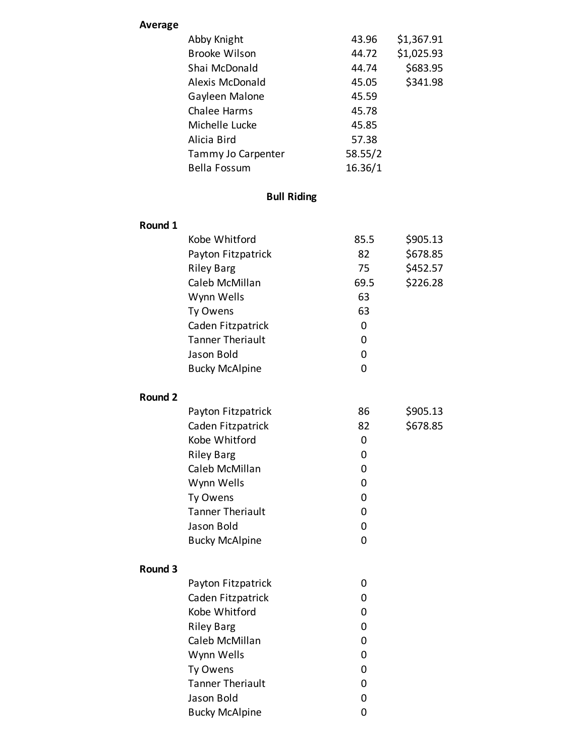| <b>Average</b> |                         |         |            |
|----------------|-------------------------|---------|------------|
|                | Abby Knight             | 43.96   | \$1,367.91 |
|                | <b>Brooke Wilson</b>    | 44.72   | \$1,025.93 |
|                | Shai McDonald           | 44.74   | \$683.95   |
|                | Alexis McDonald         | 45.05   | \$341.98   |
|                | Gayleen Malone          | 45.59   |            |
|                | <b>Chalee Harms</b>     | 45.78   |            |
|                | Michelle Lucke          | 45.85   |            |
|                | Alicia Bird             | 57.38   |            |
|                | Tammy Jo Carpenter      | 58.55/2 |            |
|                | <b>Bella Fossum</b>     | 16.36/1 |            |
|                |                         |         |            |
|                | <b>Bull Riding</b>      |         |            |
| Round 1        |                         |         |            |
|                | Kobe Whitford           | 85.5    | \$905.13   |
|                | Payton Fitzpatrick      | 82      | \$678.85   |
|                | <b>Riley Barg</b>       | 75      | \$452.57   |
|                | Caleb McMillan          | 69.5    | \$226.28   |
|                | Wynn Wells              | 63      |            |
|                | Ty Owens                | 63      |            |
|                | Caden Fitzpatrick       | 0       |            |
|                | <b>Tanner Theriault</b> | 0       |            |
|                | Jason Bold              | 0       |            |
|                | <b>Bucky McAlpine</b>   | 0       |            |
| Round 2        |                         |         |            |
|                | Payton Fitzpatrick      | 86      | \$905.13   |
|                | Caden Fitzpatrick       | 82      | \$678.85   |
|                | Kobe Whitford           | 0       |            |
|                | <b>Riley Barg</b>       | 0       |            |
|                | Caleb McMillan          | 0       |            |
|                | Wynn Wells              | 0       |            |
|                | Ty Owens                | 0       |            |
|                | <b>Tanner Theriault</b> | 0       |            |
|                | Jason Bold              | 0       |            |
|                | <b>Bucky McAlpine</b>   | 0       |            |
| Round 3        |                         |         |            |
|                | Payton Fitzpatrick      | 0       |            |
|                | Caden Fitzpatrick       | 0       |            |
|                | Kobe Whitford           | 0       |            |
|                | <b>Riley Barg</b>       | 0       |            |
|                | Caleb McMillan          | 0       |            |
|                | Wynn Wells              | 0       |            |
|                | Ty Owens                | 0       |            |
|                | <b>Tanner Theriault</b> | 0       |            |
|                | Jason Bold              | 0       |            |
|                | <b>Bucky McAlpine</b>   | 0       |            |